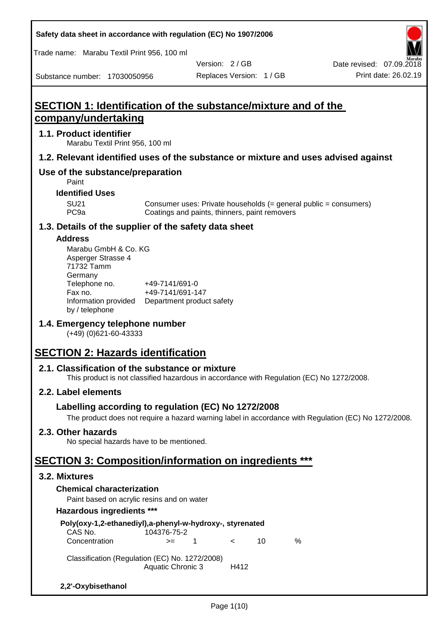Trade name: Marabu Textil Print 956, 100 ml

Substance number: 17030050956

Version: 2 / GB

## **SECTION 1: Identification of the substance/mixture and of the company/undertaking**

#### **1.1. Product identifier**

Marabu Textil Print 956, 100 ml

## **1.2. Relevant identified uses of the substance or mixture and uses advised against**

## **Use of the substance/preparation**

Paint

#### **Identified Uses**

SU21 Consumer uses: Private households (= general public = consumers)<br>PC9a Coatings and paints, thinners, paint removers Coatings and paints, thinners, paint removers

## **1.3. Details of the supplier of the safety data sheet**

#### **Address**

| Marabu GmbH & Co. KG |                           |
|----------------------|---------------------------|
| Asperger Strasse 4   |                           |
| 71732 Tamm           |                           |
| Germany              |                           |
| Telephone no.        | +49-7141/691-0            |
| Fax no.              | +49-7141/691-147          |
| Information provided | Department product safety |
| by / telephone       |                           |

## **1.4. Emergency telephone number**

(+49) (0)621-60-43333

## **SECTION 2: Hazards identification**

## **2.1. Classification of the substance or mixture**

This product is not classified hazardous in accordance with Regulation (EC) No 1272/2008.

## **2.2. Label elements**

## **Labelling according to regulation (EC) No 1272/2008**

The product does not require a hazard warning label in accordance with Regulation (EC) No 1272/2008.

## **2.3. Other hazards**

No special hazards have to be mentioned.

## **SECTION 3: Composition/information on ingredients \*\*\***

#### **3.2. Mixtures**

## **Chemical characterization**

Paint based on acrylic resins and on water

#### **Hazardous ingredients \*\*\***

| Poly(oxy-1,2-ethanediyl),a-phenyl-w-hydroxy-, styrenated |                          |    |            |    |   |
|----------------------------------------------------------|--------------------------|----|------------|----|---|
| CAS No.                                                  | 104376-75-2              |    |            |    |   |
| Concentration                                            | $>=$                     | -1 | $\epsilon$ | 10 | ℅ |
| Classification (Regulation (EC) No. 1272/2008)           |                          |    |            |    |   |
|                                                          | <b>Aquatic Chronic 3</b> |    | H412       |    |   |
| 2,2'-Oxybisethanol                                       |                          |    |            |    |   |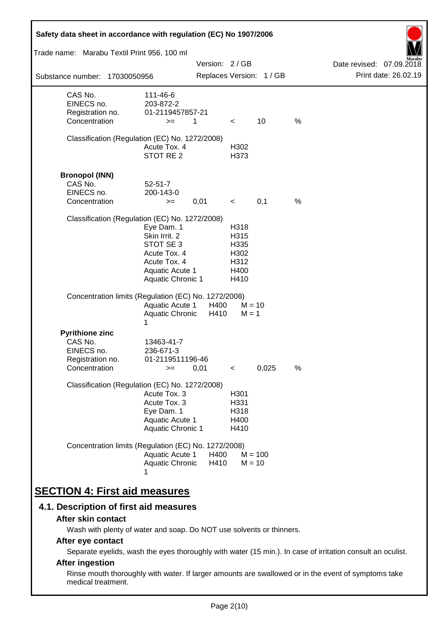| Safety data sheet in accordance with regulation (EC) No 1907/2006<br>Trade name: Marabu Textil Print 956, 100 ml |                                                                                                                         |               |                                                      |                          |      |                          |
|------------------------------------------------------------------------------------------------------------------|-------------------------------------------------------------------------------------------------------------------------|---------------|------------------------------------------------------|--------------------------|------|--------------------------|
|                                                                                                                  |                                                                                                                         | Version: 2/GB |                                                      |                          |      | Date revised: 07.09.2018 |
| Substance number: 17030050956                                                                                    |                                                                                                                         |               |                                                      | Replaces Version: 1 / GB |      | Print date: 26.02.19     |
| CAS No.<br>EINECS no.<br>Registration no.<br>Concentration                                                       | 111-46-6<br>203-872-2<br>01-2119457857-21<br>$>=$                                                                       | 1             | $\prec$                                              | 10                       | $\%$ |                          |
| Classification (Regulation (EC) No. 1272/2008)                                                                   | Acute Tox. 4<br>STOT RE 2                                                                                               |               | H302<br>H373                                         |                          |      |                          |
| <b>Bronopol (INN)</b><br>CAS No.<br>EINECS no.<br>Concentration                                                  | $52 - 51 - 7$<br>200-143-0<br>$>=$                                                                                      | 0,01          | $\,<\,$                                              | 0,1                      | $\%$ |                          |
| Classification (Regulation (EC) No. 1272/2008)                                                                   | Eye Dam. 1<br>Skin Irrit. 2<br>STOT SE 3<br>Acute Tox. 4<br>Acute Tox. 4<br>Aquatic Acute 1<br><b>Aquatic Chronic 1</b> |               | H318<br>H315<br>H335<br>H302<br>H312<br>H400<br>H410 |                          |      |                          |
| Concentration limits (Regulation (EC) No. 1272/2008)                                                             | <b>Aquatic Acute 1</b><br>Aquatic Chronic<br>1                                                                          | H400<br>H410  | $M = 1$                                              | $M = 10$                 |      |                          |
| <b>Pyrithione zinc</b><br>CAS No.<br>EINECS no.<br>Registration no.<br>Concentration                             | 13463-41-7<br>236-671-3<br>01-2119511196-46<br>$>=$                                                                     | 0,01          | $\,<\,$                                              | 0,025                    | %    |                          |
| Classification (Regulation (EC) No. 1272/2008)                                                                   | Acute Tox. 3<br>Acute Tox. 3<br>Eye Dam. 1<br><b>Aquatic Acute 1</b><br><b>Aquatic Chronic 1</b>                        |               | H301<br>H331<br>H318<br>H400<br>H410                 |                          |      |                          |
| Concentration limits (Regulation (EC) No. 1272/2008)                                                             | Aquatic Acute 1<br>Aquatic Chronic                                                                                      | H400<br>H410  |                                                      | $M = 100$<br>$M = 10$    |      |                          |
| <b>SECTION 4: First aid measures</b>                                                                             |                                                                                                                         |               |                                                      |                          |      |                          |

## **4.1. Description of first aid measures**

#### **After skin contact**

Wash with plenty of water and soap. Do NOT use solvents or thinners.

## **After eye contact**

Separate eyelids, wash the eyes thoroughly with water (15 min.). In case of irritation consult an oculist.

## **After ingestion**

Rinse mouth thoroughly with water. If larger amounts are swallowed or in the event of symptoms take medical treatment.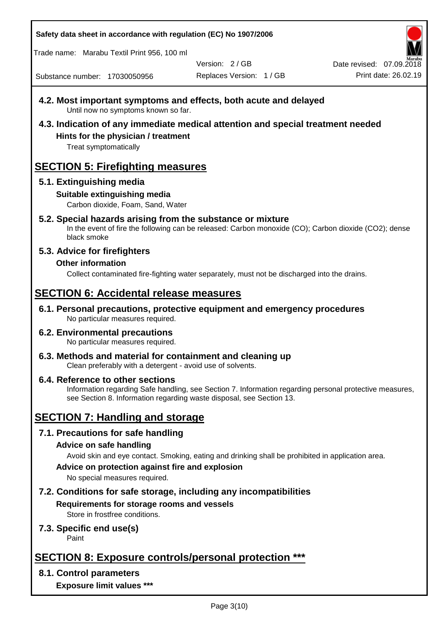Trade name: Marabu Textil Print 956, 100 ml

Version: 2 / GB

Replaces Version: 1 / GB Print date: 26.02.19 Date revised: 07.09.2018

Substance number: 17030050956

- **4.2. Most important symptoms and effects, both acute and delayed** Until now no symptoms known so far.
- **4.3. Indication of any immediate medical attention and special treatment needed Hints for the physician / treatment**

Treat symptomatically

## **SECTION 5: Firefighting measures**

## **5.1. Extinguishing media**

## **Suitable extinguishing media**

Carbon dioxide, Foam, Sand, Water

# **5.2. Special hazards arising from the substance or mixture**

In the event of fire the following can be released: Carbon monoxide (CO); Carbon dioxide (CO2); dense black smoke

## **5.3. Advice for firefighters**

## **Other information**

Collect contaminated fire-fighting water separately, must not be discharged into the drains.

## **SECTION 6: Accidental release measures**

**6.1. Personal precautions, protective equipment and emergency procedures** No particular measures required.

#### **6.2. Environmental precautions** No particular measures required.

**6.3. Methods and material for containment and cleaning up** Clean preferably with a detergent - avoid use of solvents.

#### **6.4. Reference to other sections** Information regarding Safe handling, see Section 7. Information regarding personal protective measures, see Section 8. Information regarding waste disposal, see Section 13.

## **SECTION 7: Handling and storage**

## **7.1. Precautions for safe handling**

## **Advice on safe handling**

Avoid skin and eye contact. Smoking, eating and drinking shall be prohibited in application area.

**Advice on protection against fire and explosion**

No special measures required.

## **7.2. Conditions for safe storage, including any incompatibilities Requirements for storage rooms and vessels**

Store in frostfree conditions.

## **7.3. Specific end use(s)**

Paint

## **SECTION 8: Exposure controls/personal protection \*\*\***

## **8.1. Control parameters**

**Exposure limit values \*\*\***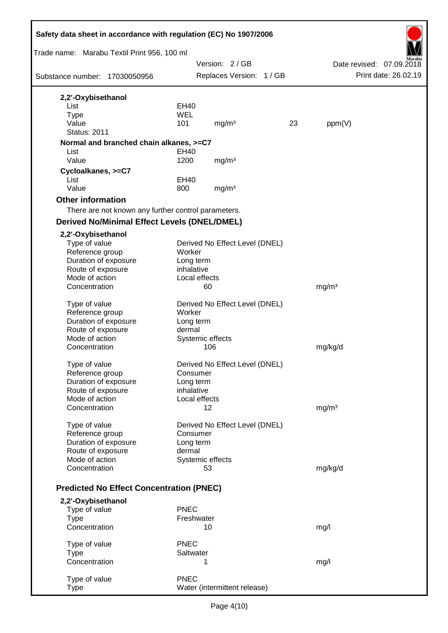| Safety data sheet in accordance with regulation (EC) No 1907/2006 |             |                                |    |                          |
|-------------------------------------------------------------------|-------------|--------------------------------|----|--------------------------|
| Trade name: Marabu Textil Print 956, 100 ml                       |             |                                |    |                          |
|                                                                   |             | Version: 2/GB                  |    | Date revised: 07.09.2018 |
| Substance number: 17030050956                                     |             | Replaces Version: 1 / GB       |    | Print date: 26.02.19     |
| 2,2'-Oxybisethanol                                                |             |                                |    |                          |
| List                                                              | EH40        |                                |    |                          |
| <b>Type</b>                                                       | <b>WEL</b>  |                                |    |                          |
| Value<br><b>Status: 2011</b>                                      | 101         | mg/m <sup>3</sup>              | 23 | ppm(V)                   |
|                                                                   |             |                                |    |                          |
| Normal and branched chain alkanes, >=C7<br>List                   | EH40        |                                |    |                          |
| Value                                                             | 1200        | mg/m <sup>3</sup>              |    |                          |
| Cycloalkanes, >=C7                                                |             |                                |    |                          |
| List                                                              | EH40        |                                |    |                          |
| Value                                                             | 800         | mg/m <sup>3</sup>              |    |                          |
| <b>Other information</b>                                          |             |                                |    |                          |
| There are not known any further control parameters.               |             |                                |    |                          |
| <b>Derived No/Minimal Effect Levels (DNEL/DMEL)</b>               |             |                                |    |                          |
| 2,2'-Oxybisethanol                                                |             |                                |    |                          |
| Type of value                                                     |             | Derived No Effect Level (DNEL) |    |                          |
| Reference group                                                   | Worker      |                                |    |                          |
| Duration of exposure                                              | Long term   |                                |    |                          |
| Route of exposure                                                 | inhalative  |                                |    |                          |
| Mode of action<br>Concentration                                   |             | Local effects<br>60            |    | mg/m <sup>3</sup>        |
|                                                                   |             |                                |    |                          |
| Type of value                                                     |             | Derived No Effect Level (DNEL) |    |                          |
| Reference group                                                   | Worker      |                                |    |                          |
| Duration of exposure                                              | Long term   |                                |    |                          |
| Route of exposure                                                 | dermal      |                                |    |                          |
| Mode of action<br>Concentration                                   |             | Systemic effects<br>106        |    | mg/kg/d                  |
|                                                                   |             |                                |    |                          |
| Type of value                                                     |             | Derived No Effect Level (DNEL) |    |                          |
| Reference group                                                   |             | Consumer                       |    |                          |
| Duration of exposure                                              | Long term   |                                |    |                          |
| Route of exposure                                                 | inhalative  | Local effects                  |    |                          |
| Mode of action<br>Concentration                                   |             | 12                             |    | mg/m <sup>3</sup>        |
|                                                                   |             |                                |    |                          |
| Type of value                                                     |             | Derived No Effect Level (DNEL) |    |                          |
| Reference group                                                   |             | Consumer                       |    |                          |
| Duration of exposure                                              | Long term   |                                |    |                          |
| Route of exposure                                                 | dermal      |                                |    |                          |
| Mode of action<br>Concentration                                   |             | Systemic effects<br>53         |    | mg/kg/d                  |
|                                                                   |             |                                |    |                          |
| <b>Predicted No Effect Concentration (PNEC)</b>                   |             |                                |    |                          |
| 2,2'-Oxybisethanol                                                |             |                                |    |                          |
| Type of value                                                     | <b>PNEC</b> |                                |    |                          |
| <b>Type</b>                                                       |             | Freshwater                     |    |                          |
| Concentration                                                     |             | 10                             |    | mg/l                     |
| Type of value                                                     | <b>PNEC</b> |                                |    |                          |
| <b>Type</b>                                                       | Saltwater   |                                |    |                          |
| Concentration                                                     |             | 1                              |    | mg/l                     |
|                                                                   | <b>PNEC</b> |                                |    |                          |
| Type of value<br><b>Type</b>                                      |             | Water (intermittent release)   |    |                          |
|                                                                   |             |                                |    |                          |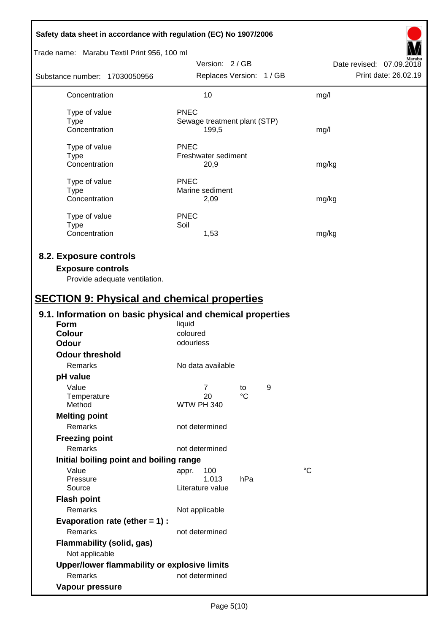| Safety data sheet in accordance with regulation (EC) No 1907/2006                                                                         |                              |                 |   |                          |
|-------------------------------------------------------------------------------------------------------------------------------------------|------------------------------|-----------------|---|--------------------------|
| Trade name: Marabu Textil Print 956, 100 ml                                                                                               |                              |                 |   |                          |
|                                                                                                                                           | Version: 2/GB                |                 |   | Date revised: 07.09.2018 |
| Substance number: 17030050956                                                                                                             | Replaces Version: 1 / GB     |                 |   | Print date: 26.02.19     |
| Concentration                                                                                                                             | 10                           |                 |   | mg/l                     |
| Type of value                                                                                                                             | <b>PNEC</b>                  |                 |   |                          |
| <b>Type</b>                                                                                                                               | Sewage treatment plant (STP) |                 |   |                          |
| Concentration                                                                                                                             | 199,5                        |                 |   | mg/l                     |
| Type of value                                                                                                                             | <b>PNEC</b>                  |                 |   |                          |
| <b>Type</b>                                                                                                                               | Freshwater sediment          |                 |   |                          |
| Concentration                                                                                                                             | 20,9                         |                 |   | mg/kg                    |
| Type of value                                                                                                                             | <b>PNEC</b>                  |                 |   |                          |
| <b>Type</b>                                                                                                                               | Marine sediment              |                 |   |                          |
| Concentration                                                                                                                             | 2,09                         |                 |   | mg/kg                    |
|                                                                                                                                           |                              |                 |   |                          |
| Type of value                                                                                                                             | <b>PNEC</b><br>Soil          |                 |   |                          |
| <b>Type</b><br>Concentration                                                                                                              | 1,53                         |                 |   | mg/kg                    |
|                                                                                                                                           |                              |                 |   |                          |
| 8.2. Exposure controls<br><b>Exposure controls</b><br>Provide adequate ventilation.<br><b>SECTION 9: Physical and chemical properties</b> |                              |                 |   |                          |
| 9.1. Information on basic physical and chemical properties                                                                                |                              |                 |   |                          |
| <b>Form</b>                                                                                                                               | liquid                       |                 |   |                          |
| <b>Colour</b>                                                                                                                             | coloured                     |                 |   |                          |
| <b>Odour</b>                                                                                                                              | odourless                    |                 |   |                          |
| <b>Odour threshold</b>                                                                                                                    |                              |                 |   |                          |
| Remarks                                                                                                                                   | No data available            |                 |   |                          |
| pH value                                                                                                                                  |                              |                 |   |                          |
| Value                                                                                                                                     | $\overline{7}$               | to              | 9 |                          |
| Temperature                                                                                                                               | 20                           | $\rm ^{\circ}C$ |   |                          |
| Method                                                                                                                                    | <b>WTW PH 340</b>            |                 |   |                          |
| <b>Melting point</b>                                                                                                                      |                              |                 |   |                          |
| Remarks                                                                                                                                   | not determined               |                 |   |                          |
| <b>Freezing point</b>                                                                                                                     |                              |                 |   |                          |
| Remarks                                                                                                                                   | not determined               |                 |   |                          |
| Initial boiling point and boiling range                                                                                                   |                              |                 |   |                          |
| Value                                                                                                                                     | 100<br>appr.                 |                 |   | $\rm ^{\circ}C$          |
| Pressure                                                                                                                                  | 1.013                        | hPa             |   |                          |
| Source                                                                                                                                    | Literature value             |                 |   |                          |
| <b>Flash point</b>                                                                                                                        |                              |                 |   |                          |
| Remarks                                                                                                                                   | Not applicable               |                 |   |                          |
| Evaporation rate (ether $= 1$ ) :                                                                                                         |                              |                 |   |                          |
| Remarks                                                                                                                                   | not determined               |                 |   |                          |
| <b>Flammability (solid, gas)</b><br>Not applicable                                                                                        |                              |                 |   |                          |
| Upper/lower flammability or explosive limits                                                                                              |                              |                 |   |                          |
| Remarks                                                                                                                                   | not determined               |                 |   |                          |
| Vapour pressure                                                                                                                           |                              |                 |   |                          |
|                                                                                                                                           |                              |                 |   |                          |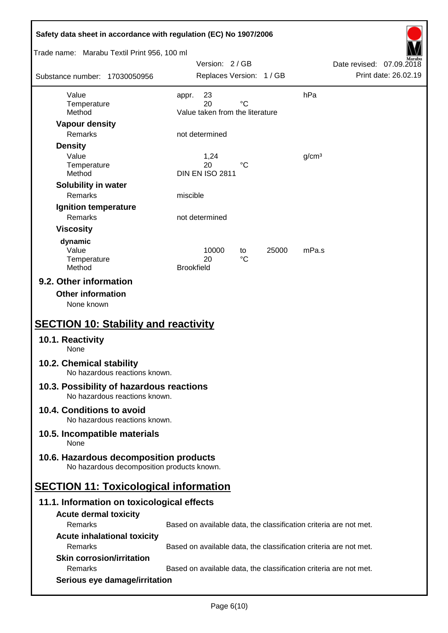| Safety data sheet in accordance with regulation (EC) No 1907/2006                    |                                                                   |                          |
|--------------------------------------------------------------------------------------|-------------------------------------------------------------------|--------------------------|
| Trade name: Marabu Textil Print 956, 100 ml                                          | Version: 2/GB                                                     | Date revised: 07.09.2018 |
| Substance number: 17030050956                                                        | Replaces Version: 1 / GB                                          | Print date: 26.02.19     |
| Value                                                                                | 23<br>appr.                                                       | hPa                      |
| Temperature<br>Method                                                                | $^{\circ}C$<br>20<br>Value taken from the literature              |                          |
| <b>Vapour density</b>                                                                |                                                                   |                          |
| Remarks                                                                              | not determined                                                    |                          |
| <b>Density</b>                                                                       |                                                                   |                          |
| Value                                                                                | 1,24<br>20<br>°C                                                  | g/cm <sup>3</sup>        |
| Temperature<br>Method                                                                | <b>DIN EN ISO 2811</b>                                            |                          |
| Solubility in water                                                                  |                                                                   |                          |
| Remarks                                                                              | miscible                                                          |                          |
| Ignition temperature                                                                 |                                                                   |                          |
| Remarks                                                                              | not determined                                                    |                          |
| <b>Viscosity</b>                                                                     |                                                                   |                          |
| dynamic                                                                              |                                                                   |                          |
| Value<br>Temperature                                                                 | 10000<br>25000<br>to<br>$^{\circ}C$<br>20                         | mPa.s                    |
| Method                                                                               | <b>Brookfield</b>                                                 |                          |
| 9.2. Other information<br><b>Other information</b><br>None known                     |                                                                   |                          |
| <b>SECTION 10: Stability and reactivity</b>                                          |                                                                   |                          |
| 10.1. Reactivity<br>None                                                             |                                                                   |                          |
| 10.2. Chemical stability<br>No hazardous reactions known.                            |                                                                   |                          |
| 10.3. Possibility of hazardous reactions<br>No hazardous reactions known.            |                                                                   |                          |
| 10.4. Conditions to avoid<br>No hazardous reactions known.                           |                                                                   |                          |
| 10.5. Incompatible materials<br>None                                                 |                                                                   |                          |
| 10.6. Hazardous decomposition products<br>No hazardous decomposition products known. |                                                                   |                          |
| <b>SECTION 11: Toxicological information</b>                                         |                                                                   |                          |
| 11.1. Information on toxicological effects                                           |                                                                   |                          |
| <b>Acute dermal toxicity</b>                                                         |                                                                   |                          |
| Remarks                                                                              | Based on available data, the classification criteria are not met. |                          |
| <b>Acute inhalational toxicity</b>                                                   |                                                                   |                          |
| Remarks                                                                              | Based on available data, the classification criteria are not met. |                          |
| <b>Skin corrosion/irritation</b>                                                     |                                                                   |                          |
| Remarks                                                                              | Based on available data, the classification criteria are not met. |                          |
| Serious eye damage/irritation                                                        |                                                                   |                          |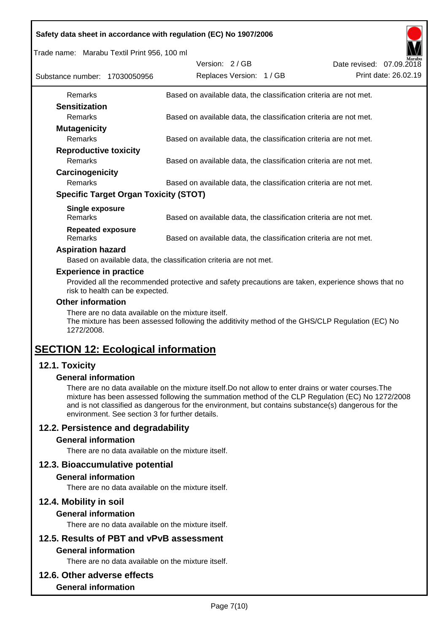| Safety data sheet in accordance with regulation (EC) No 1907/2006 |
|-------------------------------------------------------------------|
|-------------------------------------------------------------------|

Trade name: Marabu Textil Print 956, 100 ml

| Substance number: 17030050956 |                                              | Version: 2/GB | Replaces Version: 1 / GB |                                                                   | Date revised: 07.09.2018 | Marabu<br>Print date: 26.02.19 |
|-------------------------------|----------------------------------------------|---------------|--------------------------|-------------------------------------------------------------------|--------------------------|--------------------------------|
| <b>Remarks</b>                |                                              |               |                          | Based on available data, the classification criteria are not met. |                          |                                |
| <b>Sensitization</b>          |                                              |               |                          |                                                                   |                          |                                |
| <b>Remarks</b>                |                                              |               |                          | Based on available data, the classification criteria are not met. |                          |                                |
| <b>Mutagenicity</b>           |                                              |               |                          |                                                                   |                          |                                |
| <b>Remarks</b>                |                                              |               |                          | Based on available data, the classification criteria are not met. |                          |                                |
| <b>Reproductive toxicity</b>  |                                              |               |                          |                                                                   |                          |                                |
| <b>Remarks</b>                |                                              |               |                          | Based on available data, the classification criteria are not met. |                          |                                |
| Carcinogenicity               |                                              |               |                          |                                                                   |                          |                                |
| <b>Remarks</b>                |                                              |               |                          | Based on available data, the classification criteria are not met. |                          |                                |
|                               | <b>Specific Target Organ Toxicity (STOT)</b> |               |                          |                                                                   |                          |                                |
| Single exposure               |                                              |               |                          |                                                                   |                          |                                |
| <b>Remarks</b>                |                                              |               |                          | Based on available data, the classification criteria are not met. |                          |                                |
| <b>Repeated exposure</b>      |                                              |               |                          |                                                                   |                          |                                |
| Remarks                       |                                              |               |                          | Based on available data, the classification criteria are not met. |                          |                                |

#### **Aspiration hazard**

Based on available data, the classification criteria are not met.

#### **Experience in practice**

Provided all the recommended protective and safety precautions are taken, experience shows that no risk to health can be expected.

#### **Other information**

There are no data available on the mixture itself.

The mixture has been assessed following the additivity method of the GHS/CLP Regulation (EC) No 1272/2008.

## **SECTION 12: Ecological information**

## **12.1. Toxicity**

#### **General information**

There are no data available on the mixture itself.Do not allow to enter drains or water courses.The mixture has been assessed following the summation method of the CLP Regulation (EC) No 1272/2008 and is not classified as dangerous for the environment, but contains substance(s) dangerous for the environment. See section 3 for further details.

## **12.2. Persistence and degradability**

#### **General information**

There are no data available on the mixture itself.

#### **12.3. Bioaccumulative potential**

#### **General information**

There are no data available on the mixture itself.

#### **12.4. Mobility in soil**

#### **General information**

There are no data available on the mixture itself.

# **12.5. Results of PBT and vPvB assessment**

## **General information**

There are no data available on the mixture itself.

#### **12.6. Other adverse effects**

#### **General information**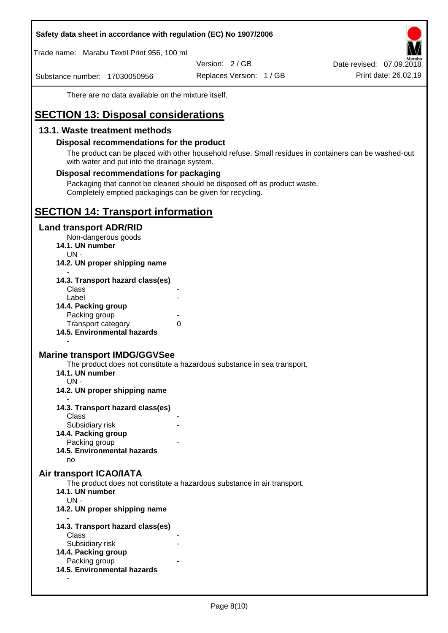Trade name: Marabu Textil Print 956, 100 ml

Version: 2 / GB

Substance number: 17030050956

Replaces Version: 1 / GB Print date: 26.02.19 Date revised: 07.09.2018

There are no data available on the mixture itself.

## **SECTION 13: Disposal considerations**

#### **13.1. Waste treatment methods**

#### **Disposal recommendations for the product**

The product can be placed with other household refuse. Small residues in containers can be washed-out with water and put into the drainage system.

#### **Disposal recommendations for packaging**

Packaging that cannot be cleaned should be disposed off as product waste. Completely emptied packagings can be given for recycling.

## **SECTION 14: Transport information**

#### **Land transport ADR/RID**

Non-dangerous goods

- **14.1. UN number**
	- UN -
- **14.2. UN proper shipping name**

| 14.3. Transport hazard class(es) |   |
|----------------------------------|---|
| Class                            |   |
| Label                            |   |
| 14.4. Packing group              |   |
| Packing group                    |   |
| <b>Transport category</b>        | 0 |
| 14.5. Environmental hazards      |   |

#### **Marine transport IMDG/GGVSee**

The product does not constitute a hazardous substance in sea transport.

- **14.1. UN number**
	- UN -

-

- **14.2. UN proper shipping name**
- **14.3. Transport hazard class(es) Class** 
	- Subsidiary risk
- **14.4. Packing group**
	- Packing group
- **14.5. Environmental hazards**

no

#### **Air transport ICAO/IATA**

The product does not constitute a hazardous substance in air transport.

- **14.1. UN number**
- UN -

-

- **14.2. UN proper shipping name**
- **14.3. Transport hazard class(es)** Class Subsidiary risk **14.4. Packing group** Packing group **14.5. Environmental hazards**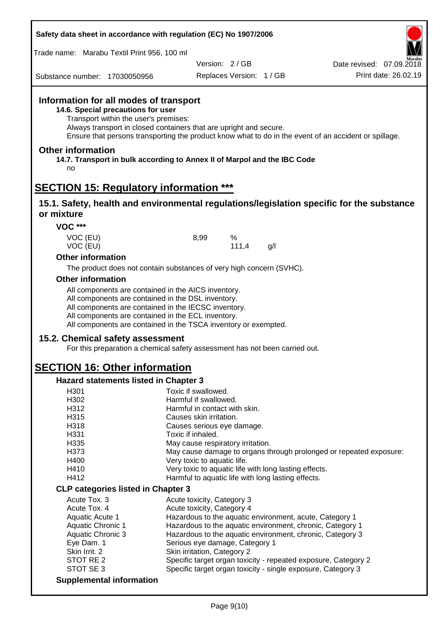| Trade name: Marabu Textil Print 956, 100 ml                                                                                                                                                                             |                                                                                                                                                                             |                                                  |
|-------------------------------------------------------------------------------------------------------------------------------------------------------------------------------------------------------------------------|-----------------------------------------------------------------------------------------------------------------------------------------------------------------------------|--------------------------------------------------|
| Substance number: 17030050956                                                                                                                                                                                           | Version: 2/GB<br>Replaces Version: 1 / GB                                                                                                                                   | Date revised: 07.09.2018<br>Print date: 26.02.19 |
| Information for all modes of transport<br>14.6. Special precautions for user<br>Transport within the user's premises:                                                                                                   | Always transport in closed containers that are upright and secure.<br>Ensure that persons transporting the product know what to do in the event of an accident or spillage. |                                                  |
| <b>Other information</b><br>no                                                                                                                                                                                          | 14.7. Transport in bulk according to Annex II of Marpol and the IBC Code                                                                                                    |                                                  |
| <b>SECTION 15: Regulatory information ***</b>                                                                                                                                                                           |                                                                                                                                                                             |                                                  |
| or mixture                                                                                                                                                                                                              | 15.1. Safety, health and environmental regulations/legislation specific for the substance                                                                                   |                                                  |
| <b>VOC ***</b>                                                                                                                                                                                                          |                                                                                                                                                                             |                                                  |
| VOC (EU)<br>VOC (EU)                                                                                                                                                                                                    | 8,99<br>%<br>111,4<br>g/l                                                                                                                                                   |                                                  |
| <b>Other information</b>                                                                                                                                                                                                |                                                                                                                                                                             |                                                  |
|                                                                                                                                                                                                                         | The product does not contain substances of very high concern (SVHC).                                                                                                        |                                                  |
| <b>Other information</b>                                                                                                                                                                                                |                                                                                                                                                                             |                                                  |
| All components are contained in the AICS inventory.<br>All components are contained in the DSL inventory.<br>All components are contained in the IECSC inventory.<br>All components are contained in the ECL inventory. | All components are contained in the TSCA inventory or exempted.                                                                                                             |                                                  |
| 15.2. Chemical safety assessment                                                                                                                                                                                        | For this preparation a chemical safety assessment has not been carried out.                                                                                                 |                                                  |
| <b>SECTION 16: Other information</b>                                                                                                                                                                                    |                                                                                                                                                                             |                                                  |
| Hazard statements listed in Chapter 3                                                                                                                                                                                   |                                                                                                                                                                             |                                                  |
| H <sub>301</sub>                                                                                                                                                                                                        | Toxic if swallowed.                                                                                                                                                         |                                                  |
| H302                                                                                                                                                                                                                    | Harmful if swallowed.                                                                                                                                                       |                                                  |
| H312<br>H315                                                                                                                                                                                                            | Harmful in contact with skin.<br>Causes skin irritation.                                                                                                                    |                                                  |
| H318                                                                                                                                                                                                                    | Causes serious eye damage.                                                                                                                                                  |                                                  |
| H331                                                                                                                                                                                                                    | Toxic if inhaled.                                                                                                                                                           |                                                  |
| H335                                                                                                                                                                                                                    | May cause respiratory irritation.                                                                                                                                           |                                                  |
| H373                                                                                                                                                                                                                    | May cause damage to organs through prolonged or repeated exposure:                                                                                                          |                                                  |
| H400                                                                                                                                                                                                                    | Very toxic to aquatic life.                                                                                                                                                 |                                                  |
| H410                                                                                                                                                                                                                    | Very toxic to aquatic life with long lasting effects.                                                                                                                       |                                                  |
| H412                                                                                                                                                                                                                    | Harmful to aquatic life with long lasting effects.                                                                                                                          |                                                  |
| <b>CLP categories listed in Chapter 3</b>                                                                                                                                                                               |                                                                                                                                                                             |                                                  |
| Acute Tox. 3                                                                                                                                                                                                            | Acute toxicity, Category 3                                                                                                                                                  |                                                  |
| Acute Tox. 4                                                                                                                                                                                                            | Acute toxicity, Category 4                                                                                                                                                  |                                                  |
| Aquatic Acute 1<br><b>Aquatic Chronic 1</b>                                                                                                                                                                             | Hazardous to the aquatic environment, acute, Category 1<br>Hazardous to the aquatic environment, chronic, Category 1                                                        |                                                  |
| <b>Aquatic Chronic 3</b>                                                                                                                                                                                                | Hazardous to the aquatic environment, chronic, Category 3                                                                                                                   |                                                  |
| Eye Dam. 1                                                                                                                                                                                                              | Serious eye damage, Category 1                                                                                                                                              |                                                  |
| Skin Irrit. 2                                                                                                                                                                                                           | Skin irritation, Category 2                                                                                                                                                 |                                                  |
| STOT RE <sub>2</sub><br>STOT SE 3                                                                                                                                                                                       | Specific target organ toxicity - repeated exposure, Category 2<br>Specific target organ toxicity - single exposure, Category 3                                              |                                                  |
| <b>Supplemental information</b>                                                                                                                                                                                         |                                                                                                                                                                             |                                                  |
|                                                                                                                                                                                                                         |                                                                                                                                                                             |                                                  |